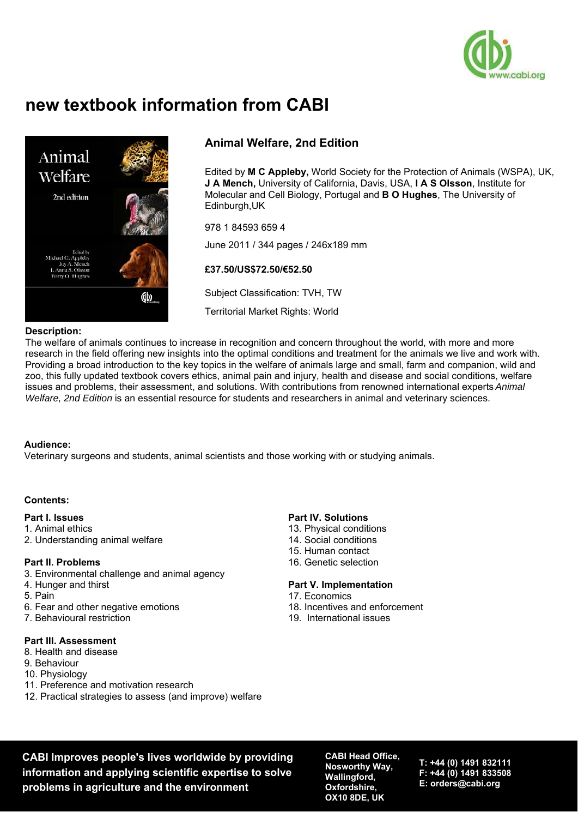

# **new textbook information from CABI**



# **Animal Welfare, 2nd Edition**

Edited by **M C Appleby,** World Society for the Protection of Animals (WSPA), UK, **J A Mench,** University of California, Davis, USA, **I A S Olsson**, Institute for Molecular and Cell Biology, Portugal and **B O Hughes**, The University of Edinburgh,UK

978 1 84593 659 4 June 2011 / 344 pages / 246x189 mm

### **£37.50/US\$72.50/€52.50**

Subject Classification: TVH, TW

Territorial Market Rights: World

#### **Description:**

The welfare of animals continues to increase in recognition and concern throughout the world, with more and more research in the field offering new insights into the optimal conditions and treatment for the animals we live and work with. Providing a broad introduction to the key topics in the welfare of animals large and small, farm and companion, wild and zoo, this fully updated textbook covers ethics, animal pain and injury, health and disease and social conditions, welfare issues and problems, their assessment, and solutions. With contributions from renowned international experts *Animal Welfare, 2nd Edition* is an essential resource for students and researchers in animal and veterinary sciences.

#### **Audience:**

Veterinary surgeons and students, animal scientists and those working with or studying animals.

#### **Contents:**

#### **Part I. Issues**

- 1. Animal ethics
- 2. Understanding animal welfare

#### **Part II. Problems**

- 3. Environmental challenge and animal agency
- 4. Hunger and thirst
- 5. Pain
- 6. Fear and other negative emotions
- 7. Behavioural restriction

#### **Part III. Assessment**

- 8. Health and disease
- 9. Behaviour
- 10. Physiology
- 11. Preference and motivation research
- 12. Practical strategies to assess (and improve) welfare

#### **Part IV. Solutions**

- 13. Physical conditions
- 14. Social conditions
- 15. Human contact
- 16. Genetic selection

#### **Part V. Implementation**

- 17. Economics
- 18. Incentives and enforcement
- 19. International issues

**CABI Improves people's lives worldwide by providing information and applying scientific expertise to solve problems in agriculture and the environment**

**CABI Head Office, Nosworthy Way, Wallingford, Oxfordshire, OX10 8DE, UK**

**T: +44 (0) 1491 832111 F: +44 (0) 1491 833508 E: orders@cabi.org**